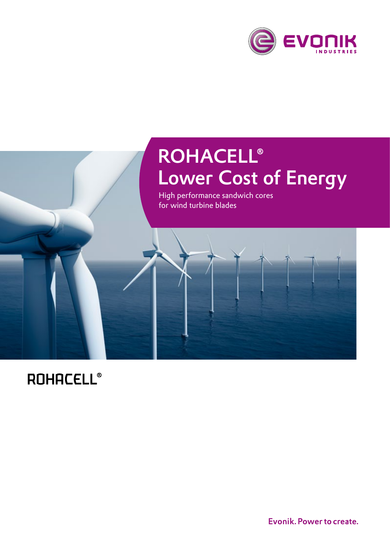



# **ROHACELL®**

Evonik. Power to create.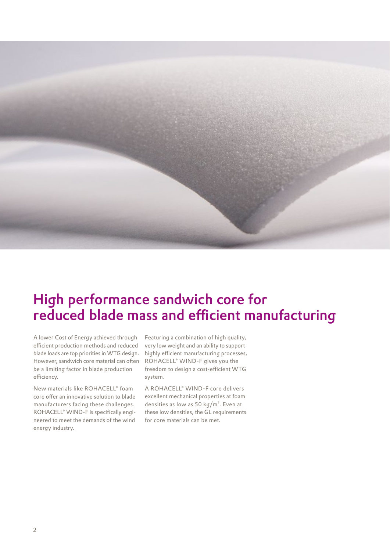

## High performance sandwich core for reduced blade mass and efficient manufacturing

A lower Cost of Energy achieved through efficient production methods and reduced blade loads are top priorities in WTG design. However, sandwich core material can often be a limiting factor in blade production efficiency.

New materials like ROHACELL® foam core offer an innovative solution to blade manufacturers facing these challenges. ROHACELL® WIND-F is specifically engineered to meet the demands of the wind energy industry.

Featuring a combination of high quality, very low weight and an ability to support highly efficient manufacturing processes, ROHACELL® WIND-F gives you the freedom to design a cost-efficient WTG system.

A ROHACELL® WIND-F core delivers excellent mechanical properties at foam densities as low as 50  $\text{kg/m}^3$ . Even at these low densities, the GL requirements for core materials can be met.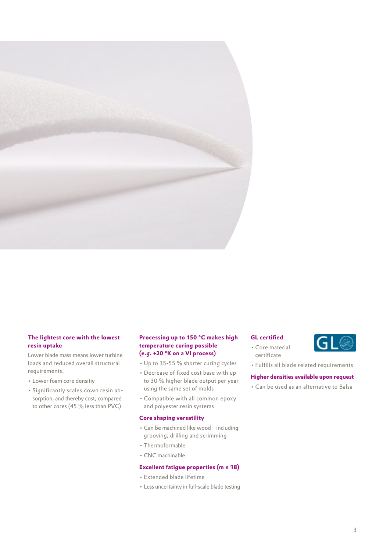

## **The lightest core with the lowest resin uptake**

Lower blade mass means lower turbine loads and reduced overall structural requirements.

- Lower foam core densitiy
- Significantly scales down resin absorption, and thereby cost, compared to other cores (45 % less than PVC)

## **Processing up to 150 °C makes high temperature curing possible (e.g. +20 °K on a VI process)**

- Up to 35-55 % shorter curing cycles
- Decrease of fixed cost base with up to 30 % higher blade output per year using the same set of molds
- Compatible with all common epoxy and polyester resin systems

## **Core shaping versatility**

- Can be machined like wood including grooving, drilling and scrimming
- Thermoformable
- CNC machinable

## **Excellent fatigue properties (m ≥ 18)**

- Extended blade lifetime
- Less uncertainty in full-scale blade testing

## **GL certified**



- Core material certificate
- Fulfills all blade related requirements

## **Higher densities available upon request**

• Can be used as an alternative to Balsa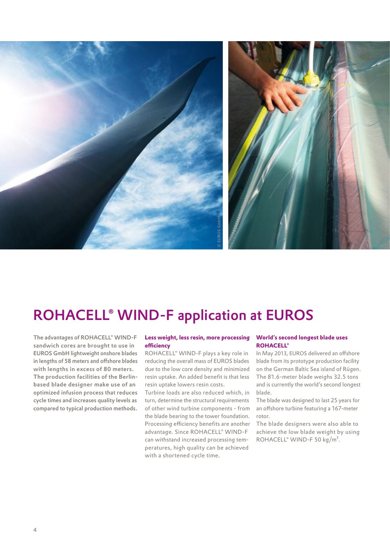

## ROHACELL® WIND-F application at EUROS

The advantages of ROHACELL® WIND-F sandwich cores are brought to use in EUROS GmbH lightweight onshore blades in lengths of 58 meters and offshore blades with lengths in excess of 80 meters. The production facilities of the Berlinbased blade designer make use of an optimized infusion process that reduces cycle times and increases quality levels as compared to typical production methods.

## **Less weight, less resin, more processing efficiency**

ROHACELL® WIND-F plays a key role in reducing the overall mass of EUROS blades due to the low core density and minimized resin uptake. An added benefit is that less resin uptake lowers resin costs.

Turbine loads are also reduced which, in turn, determine the structural requirements of other wind turbine components - from the blade bearing to the tower foundation. Processing efficiency benefits are another advantage. Since ROHACELL® WIND-F can withstand increased processing temperatures, high quality can be achieved with a shortened cycle time.

### **World's second longest blade uses ROHACELL®**

In May 2013, EUROS delivered an offshore blade from its prototype production facility on the German Baltic Sea island of Rügen. The 81.6-meter blade weighs 32.5 tons and is currently the world's second longest blade.

The blade was designed to last 25 years for an offshore turbine featuring a 167-meter rotor.

The blade designers were also able to achieve the low blade weight by using ROHACELL® WIND-F 50 kg/m<sup>3</sup>.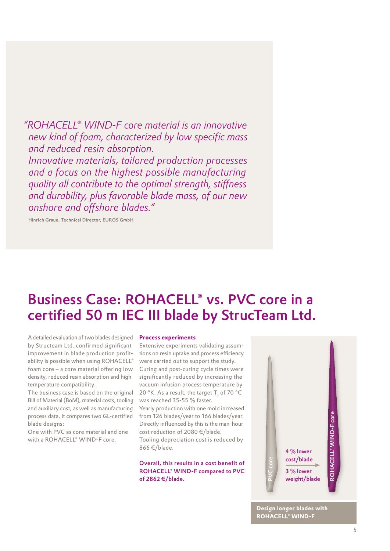*"ROHACELL® WIND-F core material is an innovative new kind of foam, characterized by low specific mass and reduced resin absorption. Innovative materials, tailored production processes and a focus on the highest possible manufacturing quality all contribute to the optimal strength, stiffness and durability, plus favorable blade mass, of our new* 

Hinrich Graue, Technical Director, EUROS GmbH

*onshore and offshore blades."* 

## Business Case: ROHACELL® vs. PVC core in a certified 50 m IEC III blade by StrucTeam Ltd.

A detailed evaluation of two blades designed by Structeam Ltd. confirmed significant improvement in blade production profitability is possible when using ROHACELL® foam core – a core material offering low density, reduced resin absorption and high temperature compatibility.

The business case is based on the original Bill of Material (BoM), material costs, tooling and auxiliary cost, as well as manufacturing process data. It compares two GL-certified blade designs:

One with PVC as core material and one with a ROHACELL® WIND-F core.

#### **Process experiments**

Extensive experiments validating assumtions on resin uptake and process efficiency were carried out to support the study. Curing and post-curing cycle times were significantly reduced by increasing the vacuum infusion process temperature by 20 °K. As a result, the target T<sub>g</sub> of 70 °C was reached 35-55 % faster. Yearly production with one mold increased from 126 blades/year to 166 blades/year. Directly influenced by this is the man-hour cost reduction of 2080 €/blade. Tooling depreciation cost is reduced by 866 €/blade.

Overall, this results in a cost benefit of ROHACELL® WIND-F compared to PVC of 2862 €/blade.



**Design longer blades with ROHACELL® WIND-F**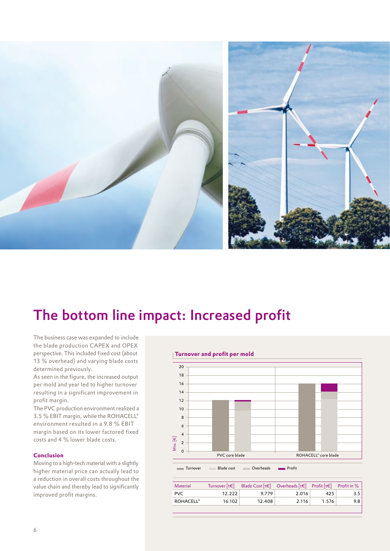

## The bottom line impact: Increased profit

The business case was expanded to include the blade production CAPEX and OPEX perspective. This included fixed cost (about 13 % overhead) and varying blade costs determined previously.

As seen in the figure, the increased output per mold and year led to higher turnover resulting in a significant improvement in profit margin.

The PVC production environment realized a 3.5 % EBIT margin, while the ROHACELL® environment resulted in a 9.8 % EBIT margin based on its lower factored fixed costs and 4 % lower blade costs.

## **Conclusion**

Moving to a high-tech material with a slightly higher material price can actually lead to a reduction in overall costs throughout the value chain and thereby lead to significantly improved profit margins.

## **Turnover and profit per mold**



Turnover Blade cost **Overheads Profit** 

| <b>Material</b>  | Turnover $[t \in ]$ | Blade Cost $[t\in]$ Overheads $[t\in]$ Profit $[t\in]$ Profit in % |       |       |                  |
|------------------|---------------------|--------------------------------------------------------------------|-------|-------|------------------|
| <b>PVC</b>       | 12.222              | 9.779                                                              | 2.016 | 425   |                  |
| <b>ROHACELL®</b> | 16.102              | 12.408                                                             | 2.116 | 1.576 | 9.8 <sub>1</sub> |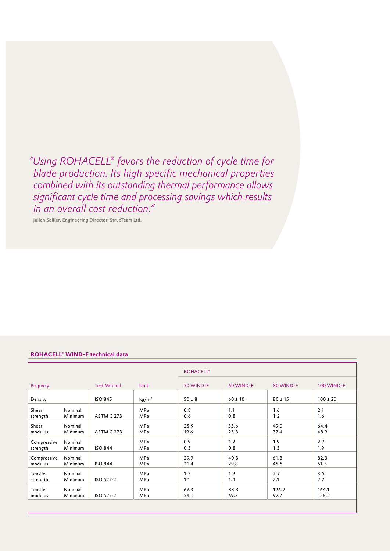*"Using ROHACELL® favors the reduction of cycle time for blade production. Its high specific mechanical properties combined with its outstanding thermal performance allows significant cycle time and processing savings which results in an overall cost reduction."*

Julien Sellier, Engineering Director, StrucTeam Ltd.

## **ROHACELL® WIND-F technical data**

|             |         |                    | Unit              | <b>ROHACELL®</b> |             |             |                   |
|-------------|---------|--------------------|-------------------|------------------|-------------|-------------|-------------------|
| Property    |         | <b>Test Method</b> |                   | 50 WIND-F        | 60 WIND-F   | 80 WIND-F   | <b>100 WIND-F</b> |
| Density     |         | <b>ISO 845</b>     | kg/m <sup>3</sup> | $50 \pm 8$       | $60 \pm 10$ | $80 \pm 15$ | $100 \pm 20$      |
| Shear       | Nominal | <b>ASTM C 273</b>  | <b>MPa</b>        | 0.8              | 1.1         | 1.6         | 2.1               |
| strength    | Minimum |                    | MPa               | 0.6              | 0.8         | 1.2         | 1.6               |
| Shear       | Nominal | <b>ASTM C 273</b>  | <b>MPa</b>        | 25.9             | 33.6        | 49.0        | 64.4              |
| modulus     | Minimum |                    | MPa               | 19.6             | 25.8        | 37.4        | 48.9              |
| Compressive | Nominal | <b>ISO 844</b>     | <b>MPa</b>        | 0.9              | 1.2         | 1.9         | 2.7               |
| strength    | Minimum |                    | MPa               | 0.5              | 0.8         | 1.3         | 1.9               |
| Compressive | Nominal | <b>ISO 844</b>     | <b>MPa</b>        | 29.9             | 40.3        | 61.3        | 82.3              |
| modulus     | Minimum |                    | MPa               | 21.4             | 29.8        | 45.5        | 61.3              |
| Tensile     | Nominal | ISO 527-2          | MPa               | 1.5              | 1.9         | 2.7         | 3.5               |
| strength    | Minimum |                    | MPa               | 1.1              | 1.4         | 2.1         | 2.7               |
| Tensile     | Nominal | ISO 527-2          | <b>MPa</b>        | 69.3             | 88.3        | 126.2       | 164.1             |
| modulus     | Minimum |                    | MPa               | 54.1             | 69.3        | 97.7        | 126.2             |